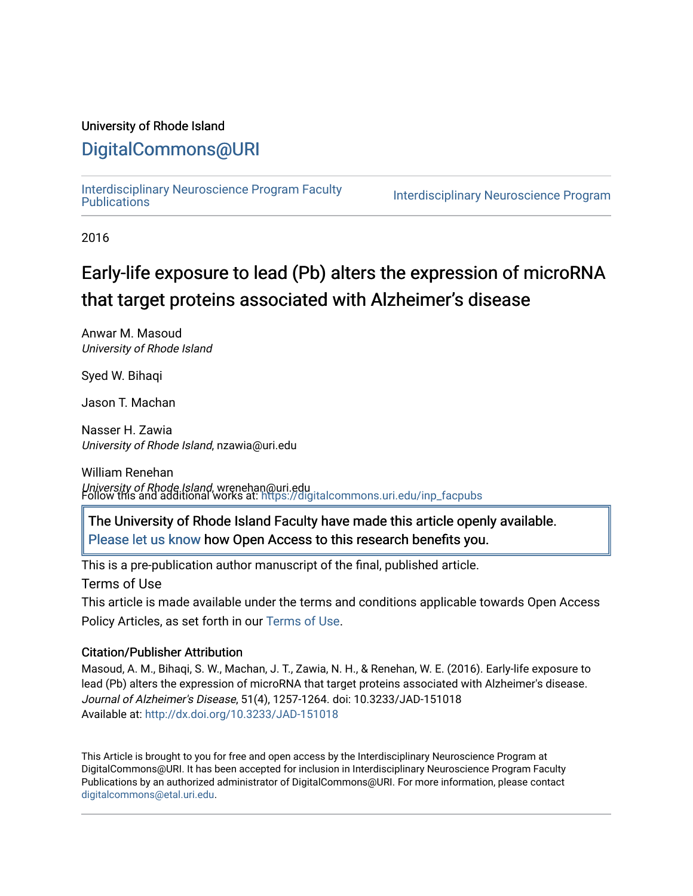## University of Rhode Island

# [DigitalCommons@URI](https://digitalcommons.uri.edu/)

[Interdisciplinary Neuroscience Program Faculty](https://digitalcommons.uri.edu/inp_facpubs)

**Interdisciplinary Neuroscience Program** 

2016

# Early-life exposure to lead (Pb) alters the expression of microRNA that target proteins associated with Alzheimer's disease

Anwar M. Masoud University of Rhode Island

Syed W. Bihaqi

Jason T. Machan

Nasser H. Zawia University of Rhode Island, nzawia@uri.edu

William Renehan University of Rhode Island, wrenehan@uri.edu Follow this and additional works at: [https://digitalcommons.uri.edu/inp\\_facpubs](https://digitalcommons.uri.edu/inp_facpubs?utm_source=digitalcommons.uri.edu%2Finp_facpubs%2F1&utm_medium=PDF&utm_campaign=PDFCoverPages) 

The University of Rhode Island Faculty have made this article openly available. [Please let us know](http://web.uri.edu/library-digital-initiatives/open-access-online-form/) how Open Access to this research benefits you.

This is a pre-publication author manuscript of the final, published article.

Terms of Use

This article is made available under the terms and conditions applicable towards Open Access Policy Articles, as set forth in our [Terms of Use](https://digitalcommons.uri.edu/inp_facpubs/oa_policy_terms.html).

### Citation/Publisher Attribution

Masoud, A. M., Bihaqi, S. W., Machan, J. T., Zawia, N. H., & Renehan, W. E. (2016). Early-life exposure to lead (Pb) alters the expression of microRNA that target proteins associated with Alzheimer's disease. Journal of Alzheimer's Disease, 51(4), 1257-1264. doi: 10.3233/JAD-151018 Available at:<http://dx.doi.org/10.3233/JAD-151018>

This Article is brought to you for free and open access by the Interdisciplinary Neuroscience Program at DigitalCommons@URI. It has been accepted for inclusion in Interdisciplinary Neuroscience Program Faculty Publications by an authorized administrator of DigitalCommons@URI. For more information, please contact [digitalcommons@etal.uri.edu](mailto:digitalcommons@etal.uri.edu).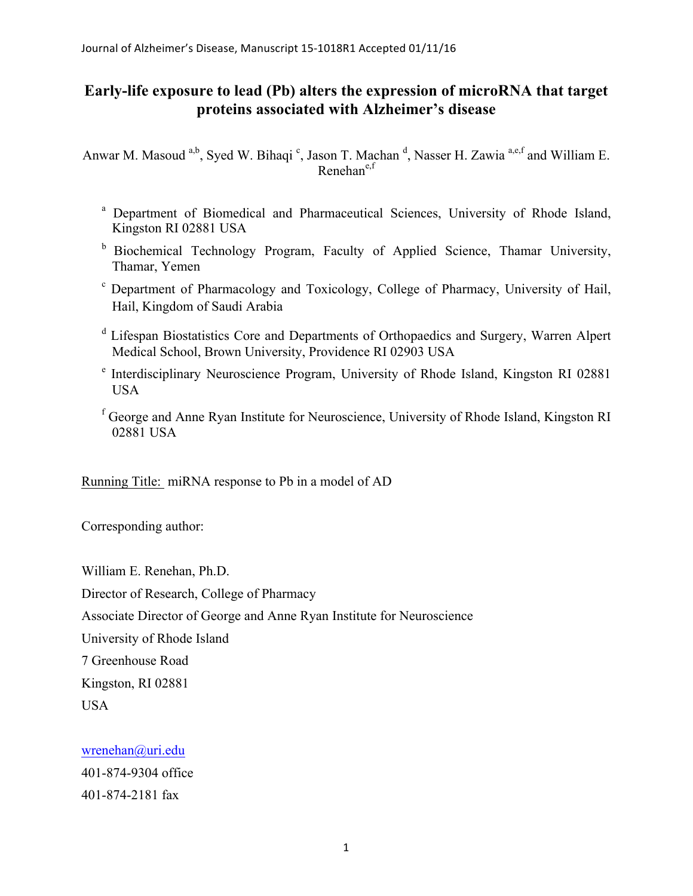## **Early-life exposure to lead (Pb) alters the expression of microRNA that target proteins associated with Alzheimer's disease**

Anwar M. Masoud <sup>a,b</sup>, Syed W. Bihaqi <sup>c</sup>, Jason T. Machan <sup>d</sup>, Nasser H. Zawia <sup>a,e,f</sup> and William E.  $R$ enehan $e, f$ 

- <sup>a</sup> Department of Biomedical and Pharmaceutical Sciences, University of Rhode Island, Kingston RI 02881 USA
- <sup>b</sup> Biochemical Technology Program, Faculty of Applied Science, Thamar University, Thamar, Yemen
- <sup>c</sup> Department of Pharmacology and Toxicology, College of Pharmacy, University of Hail, Hail, Kingdom of Saudi Arabia
- <sup>d</sup> Lifespan Biostatistics Core and Departments of Orthopaedics and Surgery, Warren Alpert Medical School, Brown University, Providence RI 02903 USA
- <sup>e</sup> Interdisciplinary Neuroscience Program, University of Rhode Island, Kingston RI 02881 USA
- <sup>f</sup> George and Anne Ryan Institute for Neuroscience, University of Rhode Island, Kingston RI 02881 USA

Running Title: miRNA response to Pb in a model of AD

Corresponding author:

William E. Renehan, Ph.D. Director of Research, College of Pharmacy Associate Director of George and Anne Ryan Institute for Neuroscience University of Rhode Island 7 Greenhouse Road Kingston, RI 02881 USA

## wrenehan@uri.edu

401-874-9304 office 401-874-2181 fax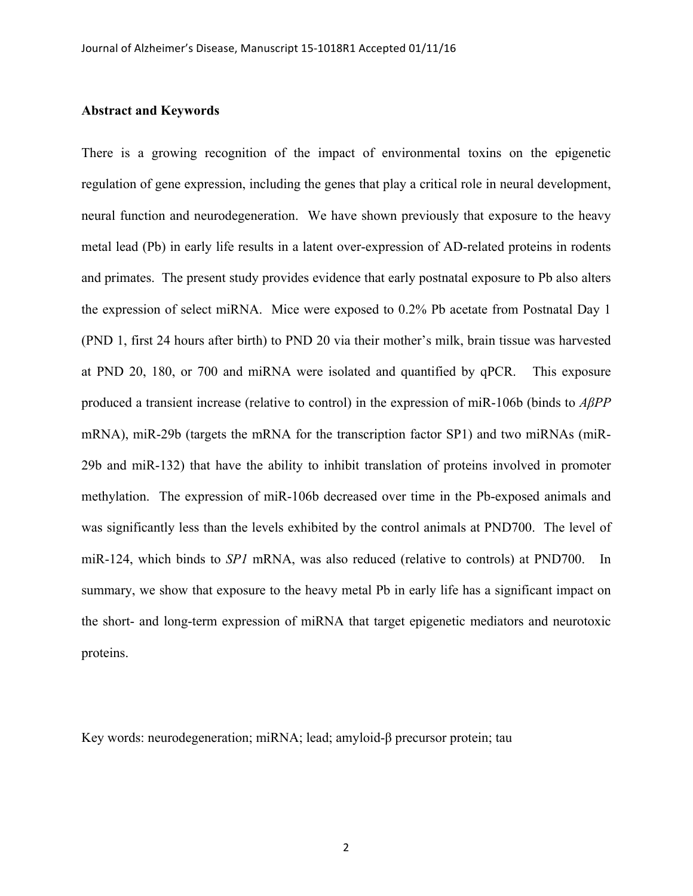#### **Abstract and Keywords**

There is a growing recognition of the impact of environmental toxins on the epigenetic regulation of gene expression, including the genes that play a critical role in neural development, neural function and neurodegeneration. We have shown previously that exposure to the heavy metal lead (Pb) in early life results in a latent over-expression of AD-related proteins in rodents and primates. The present study provides evidence that early postnatal exposure to Pb also alters the expression of select miRNA. Mice were exposed to 0.2% Pb acetate from Postnatal Day 1 (PND 1, first 24 hours after birth) to PND 20 via their mother's milk, brain tissue was harvested at PND 20, 180, or 700 and miRNA were isolated and quantified by qPCR. This exposure produced a transient increase (relative to control) in the expression of miR-106b (binds to *AβPP* mRNA), miR-29b (targets the mRNA for the transcription factor SP1) and two miRNAs (miR-29b and miR-132) that have the ability to inhibit translation of proteins involved in promoter methylation. The expression of miR-106b decreased over time in the Pb-exposed animals and was significantly less than the levels exhibited by the control animals at PND700. The level of miR-124, which binds to *SP1* mRNA, was also reduced (relative to controls) at PND700. In summary, we show that exposure to the heavy metal Pb in early life has a significant impact on the short- and long-term expression of miRNA that target epigenetic mediators and neurotoxic proteins.

Key words: neurodegeneration; miRNA; lead; amyloid-β precursor protein; tau

2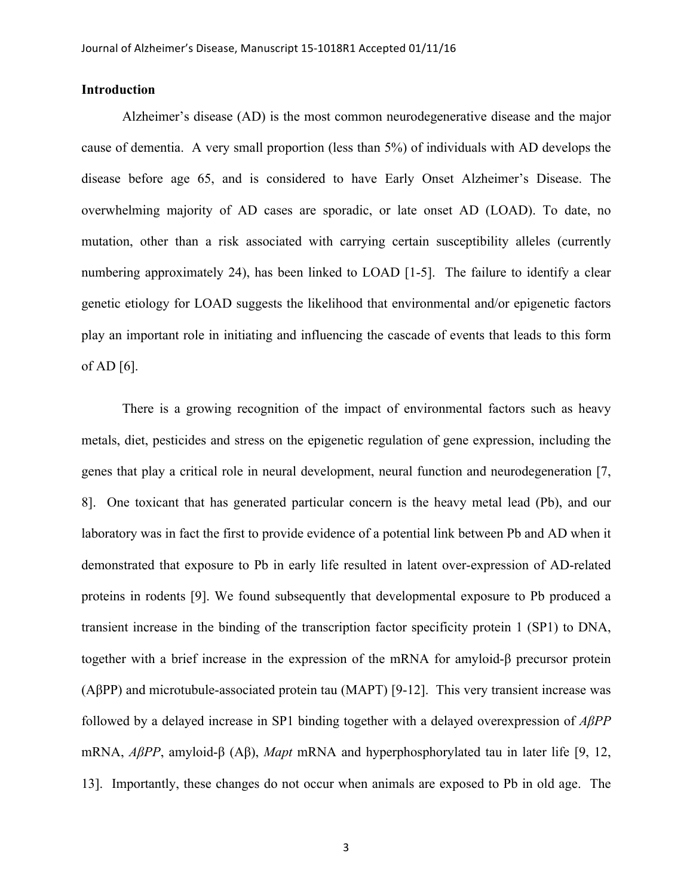## **Introduction**

Alzheimer's disease (AD) is the most common neurodegenerative disease and the major cause of dementia. A very small proportion (less than 5%) of individuals with AD develops the disease before age 65, and is considered to have Early Onset Alzheimer's Disease. The overwhelming majority of AD cases are sporadic, or late onset AD (LOAD). To date, no mutation, other than a risk associated with carrying certain susceptibility alleles (currently numbering approximately 24), has been linked to LOAD [1-5]. The failure to identify a clear genetic etiology for LOAD suggests the likelihood that environmental and/or epigenetic factors play an important role in initiating and influencing the cascade of events that leads to this form of AD  $[6]$ .

There is a growing recognition of the impact of environmental factors such as heavy metals, diet, pesticides and stress on the epigenetic regulation of gene expression, including the genes that play a critical role in neural development, neural function and neurodegeneration [7, 8]. One toxicant that has generated particular concern is the heavy metal lead (Pb), and our laboratory was in fact the first to provide evidence of a potential link between Pb and AD when it demonstrated that exposure to Pb in early life resulted in latent over-expression of AD-related proteins in rodents [9]. We found subsequently that developmental exposure to Pb produced a transient increase in the binding of the transcription factor specificity protein 1 (SP1) to DNA, together with a brief increase in the expression of the mRNA for amyloid-β precursor protein (AβPP) and microtubule-associated protein tau (MAPT) [9-12]. This very transient increase was followed by a delayed increase in SP1 binding together with a delayed overexpression of *AβPP* mRNA, *AβPP*, amyloid-β (Aβ), *Mapt* mRNA and hyperphosphorylated tau in later life [9, 12, 13]. Importantly, these changes do not occur when animals are exposed to Pb in old age. The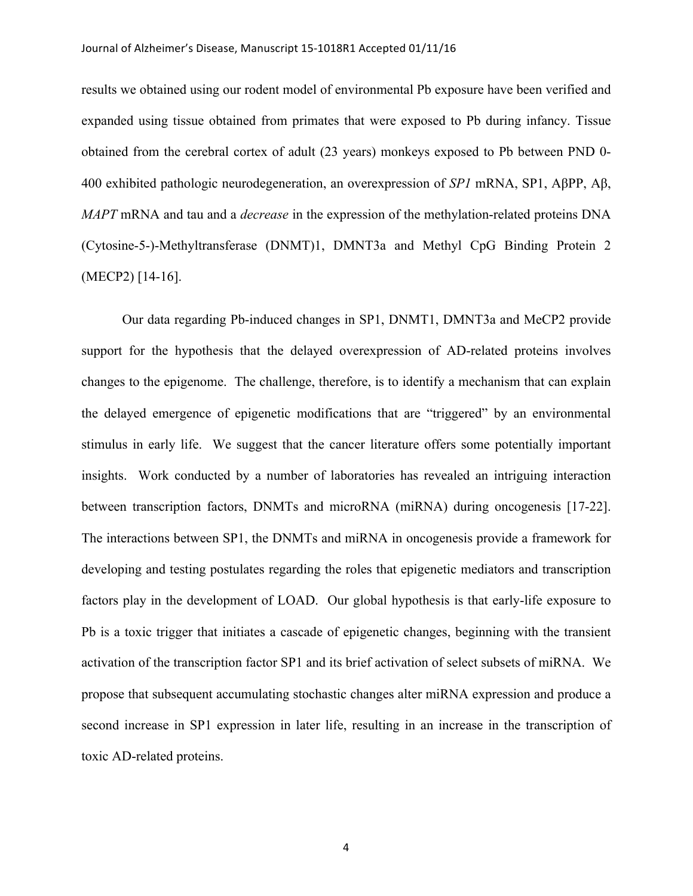#### Journal of Alzheimer's Disease, Manuscript 15-1018R1 Accepted 01/11/16

results we obtained using our rodent model of environmental Pb exposure have been verified and expanded using tissue obtained from primates that were exposed to Pb during infancy. Tissue obtained from the cerebral cortex of adult (23 years) monkeys exposed to Pb between PND 0- 400 exhibited pathologic neurodegeneration, an overexpression of *SP1* mRNA, SP1, AβPP, Aβ, *MAPT* mRNA and tau and a *decrease* in the expression of the methylation-related proteins DNA (Cytosine-5-)-Methyltransferase (DNMT)1, DMNT3a and Methyl CpG Binding Protein 2 (MECP2) [14-16].

Our data regarding Pb-induced changes in SP1, DNMT1, DMNT3a and MeCP2 provide support for the hypothesis that the delayed overexpression of AD-related proteins involves changes to the epigenome. The challenge, therefore, is to identify a mechanism that can explain the delayed emergence of epigenetic modifications that are "triggered" by an environmental stimulus in early life. We suggest that the cancer literature offers some potentially important insights. Work conducted by a number of laboratories has revealed an intriguing interaction between transcription factors, DNMTs and microRNA (miRNA) during oncogenesis [17-22]. The interactions between SP1, the DNMTs and miRNA in oncogenesis provide a framework for developing and testing postulates regarding the roles that epigenetic mediators and transcription factors play in the development of LOAD. Our global hypothesis is that early-life exposure to Pb is a toxic trigger that initiates a cascade of epigenetic changes, beginning with the transient activation of the transcription factor SP1 and its brief activation of select subsets of miRNA. We propose that subsequent accumulating stochastic changes alter miRNA expression and produce a second increase in SP1 expression in later life, resulting in an increase in the transcription of toxic AD-related proteins.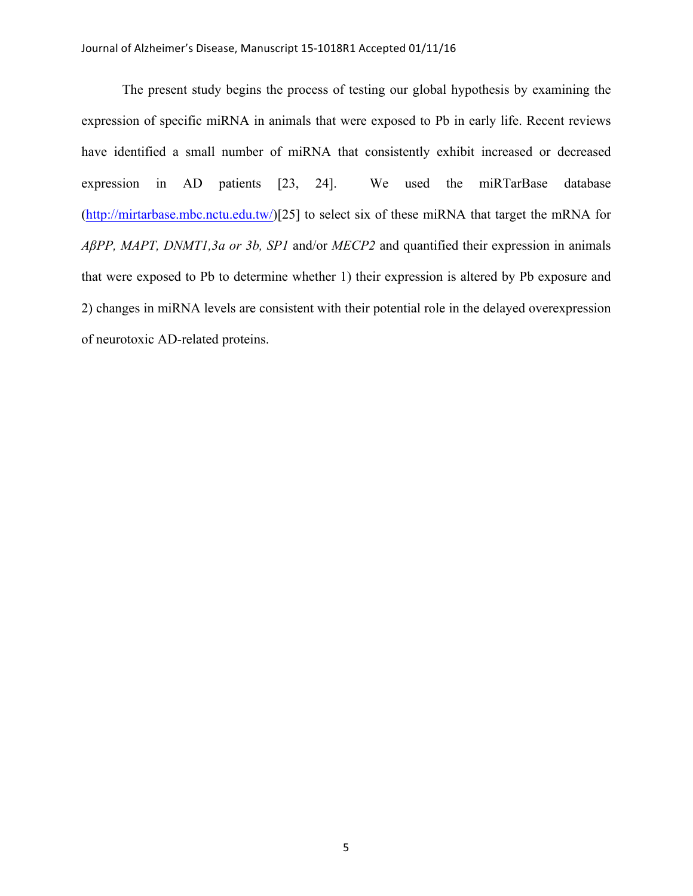The present study begins the process of testing our global hypothesis by examining the expression of specific miRNA in animals that were exposed to Pb in early life. Recent reviews have identified a small number of miRNA that consistently exhibit increased or decreased expression in AD patients [23, 24]. We used the miRTarBase database (http://mirtarbase.mbc.nctu.edu.tw/)[25] to select six of these miRNA that target the mRNA for *AβPP, MAPT, DNMT1,3a or 3b, SP1* and/or *MECP2* and quantified their expression in animals that were exposed to Pb to determine whether 1) their expression is altered by Pb exposure and 2) changes in miRNA levels are consistent with their potential role in the delayed overexpression of neurotoxic AD-related proteins.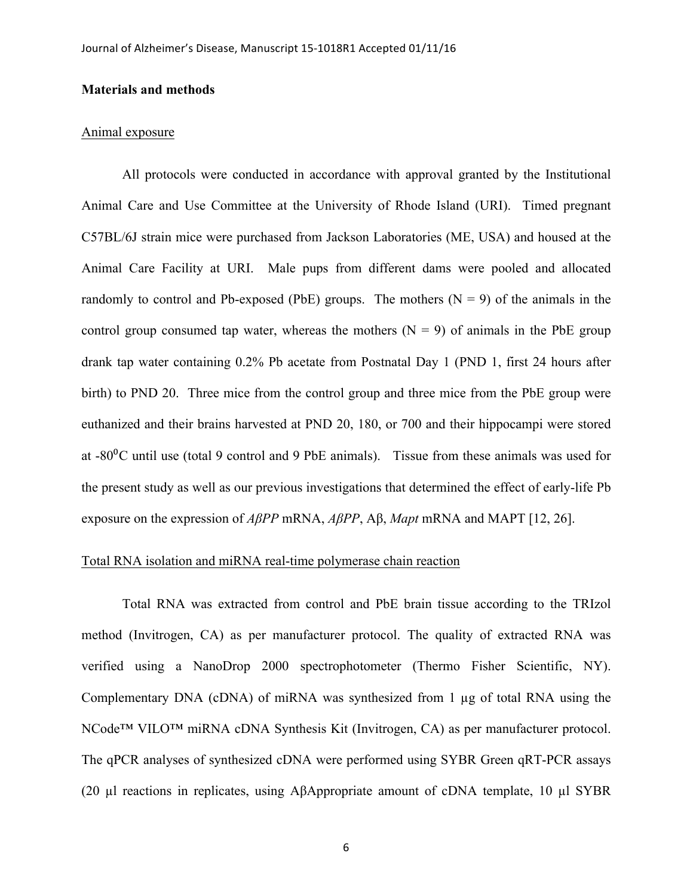## **Materials and methods**

#### Animal exposure

All protocols were conducted in accordance with approval granted by the Institutional Animal Care and Use Committee at the University of Rhode Island (URI). Timed pregnant C57BL/6J strain mice were purchased from Jackson Laboratories (ME, USA) and housed at the Animal Care Facility at URI. Male pups from different dams were pooled and allocated randomly to control and Pb-exposed (PbE) groups. The mothers  $(N = 9)$  of the animals in the control group consumed tap water, whereas the mothers  $(N = 9)$  of animals in the PbE group drank tap water containing 0.2% Pb acetate from Postnatal Day 1 (PND 1, first 24 hours after birth) to PND 20. Three mice from the control group and three mice from the PbE group were euthanized and their brains harvested at PND 20, 180, or 700 and their hippocampi were stored at  $-80\degree$ C until use (total 9 control and 9 PbE animals). Tissue from these animals was used for the present study as well as our previous investigations that determined the effect of early-life Pb exposure on the expression of *AβPP* mRNA, *AβPP*, Aβ, *Mapt* mRNA and MAPT [12, 26].

## Total RNA isolation and miRNA real-time polymerase chain reaction

Total RNA was extracted from control and PbE brain tissue according to the TRIzol method (Invitrogen, CA) as per manufacturer protocol. The quality of extracted RNA was verified using a NanoDrop 2000 spectrophotometer (Thermo Fisher Scientific, NY). Complementary DNA (cDNA) of miRNA was synthesized from 1 µg of total RNA using the NCode™ VILO™ miRNA cDNA Synthesis Kit (Invitrogen, CA) as per manufacturer protocol. The qPCR analyses of synthesized cDNA were performed using SYBR Green qRT-PCR assays (20 µl reactions in replicates, using AβAppropriate amount of cDNA template, 10 µl SYBR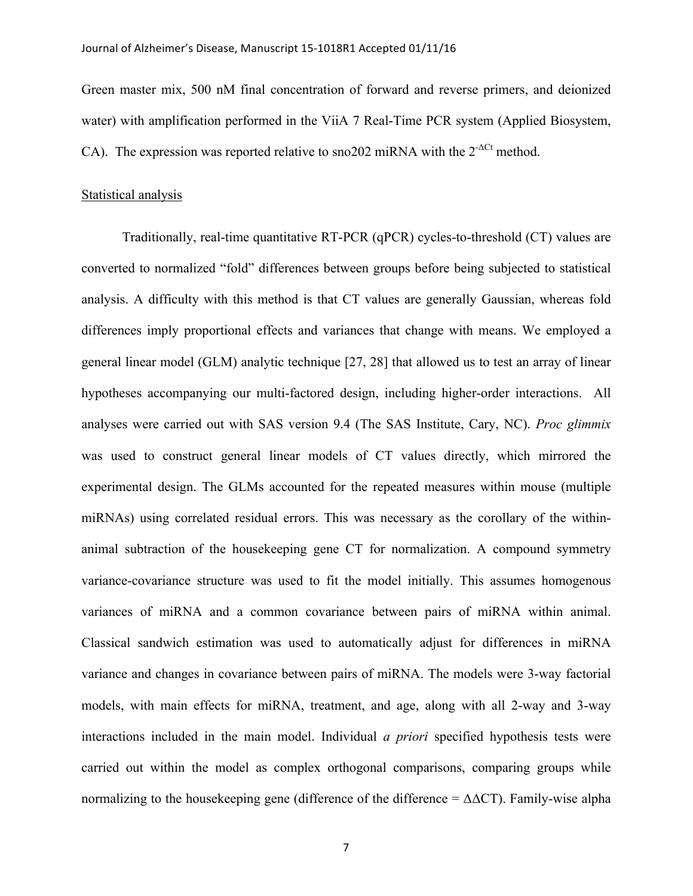Green master mix, 500 nM final concentration of forward and reverse primers, and deionized water) with amplification performed in the ViiA 7 Real-Time PCR system (Applied Biosystem, CA). The expression was reported relative to sno202 miRNA with the  $2^{-\Delta Ct}$  method.

#### Statistical analysis

Traditionally, real-time quantitative RT-PCR (qPCR) cycles-to-threshold (CT) values are converted to normalized "fold" differences between groups before being subjected to statistical analysis. A difficulty with this method is that CT values are generally Gaussian, whereas fold differences imply proportional effects and variances that change with means. We employed a general linear model (GLM) analytic technique [27, 28] that allowed us to test an array of linear hypotheses accompanying our multi-factored design, including higher-order interactions. All analyses were carried out with SAS version 9.4 (The SAS Institute, Cary, NC). *Proc glimmix* was used to construct general linear models of CT values directly, which mirrored the experimental design. The GLMs accounted for the repeated measures within mouse (multiple miRNAs) using correlated residual errors. This was necessary as the corollary of the withinanimal subtraction of the housekeeping gene CT for normalization. A compound symmetry variance-covariance structure was used to fit the model initially. This assumes homogenous variances of miRNA and a common covariance between pairs of miRNA within animal. Classical sandwich estimation was used to automatically adjust for differences in miRNA variance and changes in covariance between pairs of miRNA. The models were 3-way factorial models, with main effects for miRNA, treatment, and age, along with all 2-way and 3-way interactions included in the main model. Individual *a priori* specified hypothesis tests were carried out within the model as complex orthogonal comparisons, comparing groups while normalizing to the housekeeping gene (difference of the difference =  $\Delta \Delta CT$ ). Family-wise alpha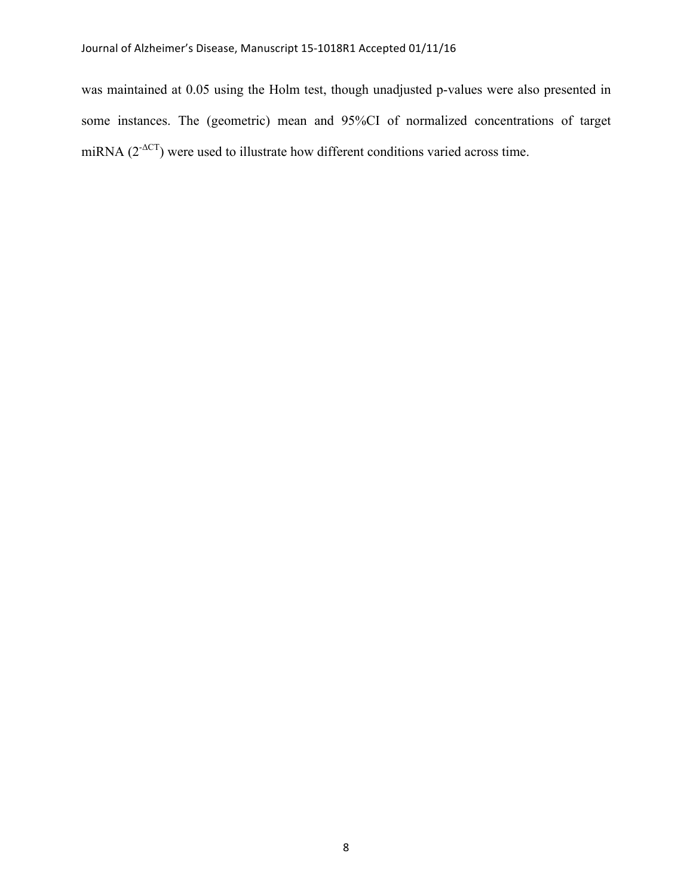was maintained at 0.05 using the Holm test, though unadjusted p-values were also presented in some instances. The (geometric) mean and 95%CI of normalized concentrations of target miRNA  $(2^{\Delta CT})$  were used to illustrate how different conditions varied across time.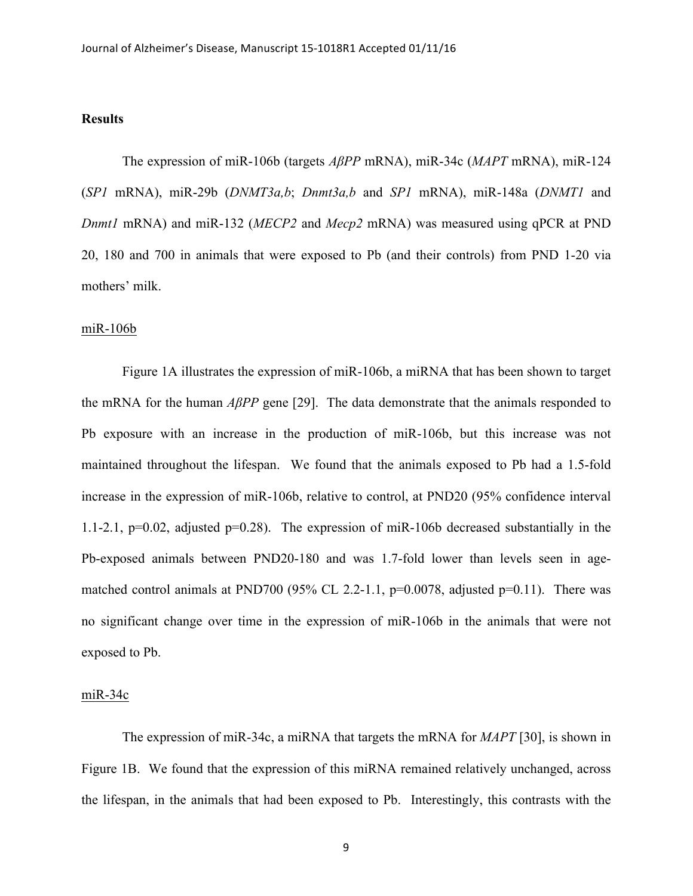## **Results**

The expression of miR-106b (targets *AβPP* mRNA), miR-34c (*MAPT* mRNA), miR-124 (*SP1* mRNA), miR-29b (*DNMT3a,b*; *Dnmt3a,b* and *SP1* mRNA), miR-148a (*DNMT1* and *Dnmt1* mRNA) and miR-132 (*MECP2* and *Mecp2* mRNA) was measured using qPCR at PND 20, 180 and 700 in animals that were exposed to Pb (and their controls) from PND 1-20 via mothers' milk.

#### miR-106b

Figure 1A illustrates the expression of miR-106b, a miRNA that has been shown to target the mRNA for the human *AβPP* gene [29]. The data demonstrate that the animals responded to Pb exposure with an increase in the production of miR-106b, but this increase was not maintained throughout the lifespan. We found that the animals exposed to Pb had a 1.5-fold increase in the expression of miR-106b, relative to control, at PND20 (95% confidence interval 1.1-2.1,  $p=0.02$ , adjusted  $p=0.28$ ). The expression of miR-106b decreased substantially in the Pb-exposed animals between PND20-180 and was 1.7-fold lower than levels seen in agematched control animals at PND700 (95% CL 2.2-1.1,  $p=0.0078$ , adjusted  $p=0.11$ ). There was no significant change over time in the expression of miR-106b in the animals that were not exposed to Pb.

#### miR-34c

The expression of miR-34c, a miRNA that targets the mRNA for *MAPT* [30], is shown in Figure 1B. We found that the expression of this miRNA remained relatively unchanged, across the lifespan, in the animals that had been exposed to Pb. Interestingly, this contrasts with the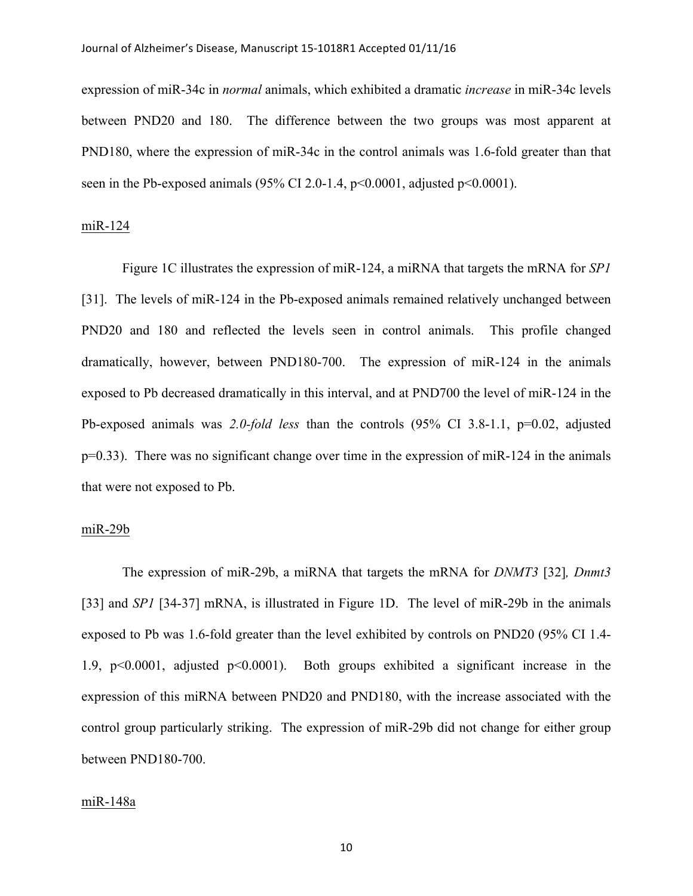#### Journal of Alzheimer's Disease, Manuscript 15-1018R1 Accepted 01/11/16

expression of miR-34c in *normal* animals, which exhibited a dramatic *increase* in miR-34c levels between PND20 and 180. The difference between the two groups was most apparent at PND180, where the expression of miR-34c in the control animals was 1.6-fold greater than that seen in the Pb-exposed animals (95% CI 2.0-1.4,  $p<0.0001$ , adjusted  $p<0.0001$ ).

### miR-124

Figure 1C illustrates the expression of miR-124, a miRNA that targets the mRNA for *SP1* [31]. The levels of miR-124 in the Pb-exposed animals remained relatively unchanged between PND20 and 180 and reflected the levels seen in control animals. This profile changed dramatically, however, between PND180-700. The expression of miR-124 in the animals exposed to Pb decreased dramatically in this interval, and at PND700 the level of miR-124 in the Pb-exposed animals was *2.0-fold less* than the controls (95% CI 3.8-1.1, p=0.02, adjusted p=0.33). There was no significant change over time in the expression of miR-124 in the animals that were not exposed to Pb.

### miR-29b

The expression of miR-29b, a miRNA that targets the mRNA for *DNMT3* [32]*, Dnmt3*  [33] and *SP1* [34-37] mRNA, is illustrated in Figure 1D. The level of miR-29b in the animals exposed to Pb was 1.6-fold greater than the level exhibited by controls on PND20 (95% CI 1.4- 1.9, p<0.0001, adjusted p<0.0001). Both groups exhibited a significant increase in the expression of this miRNA between PND20 and PND180, with the increase associated with the control group particularly striking. The expression of miR-29b did not change for either group between PND180-700.

#### miR-148a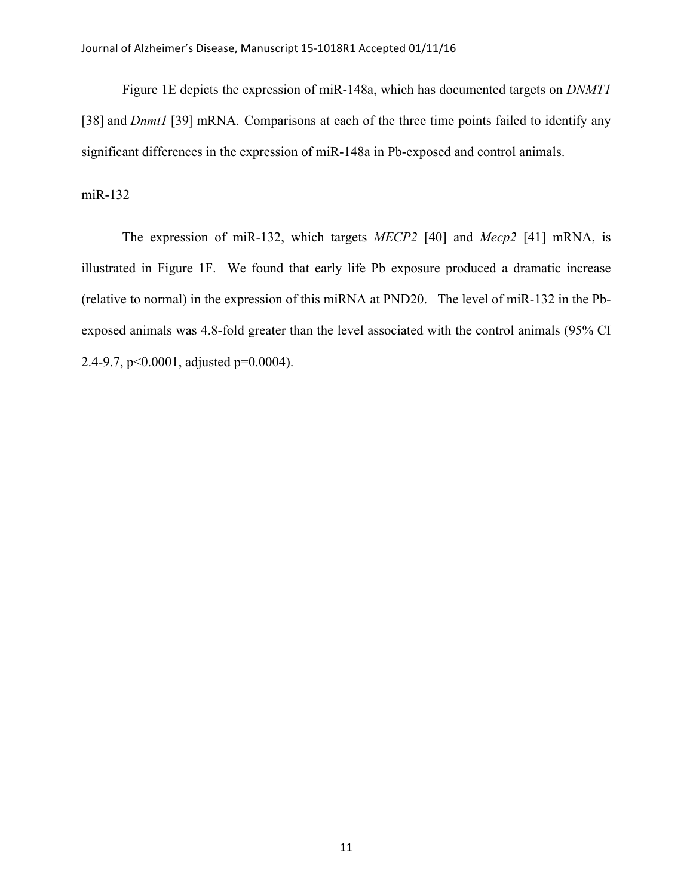Figure 1E depicts the expression of miR-148a, which has documented targets on *DNMT1* [38] and *Dnmt1* [39] mRNA. Comparisons at each of the three time points failed to identify any significant differences in the expression of miR-148a in Pb-exposed and control animals.

## miR-132

The expression of miR-132, which targets *MECP2* [40] and *Mecp2* [41] mRNA, is illustrated in Figure 1F. We found that early life Pb exposure produced a dramatic increase (relative to normal) in the expression of this miRNA at PND20. The level of miR-132 in the Pbexposed animals was 4.8-fold greater than the level associated with the control animals (95% CI 2.4-9.7, p<0.0001, adjusted p=0.0004).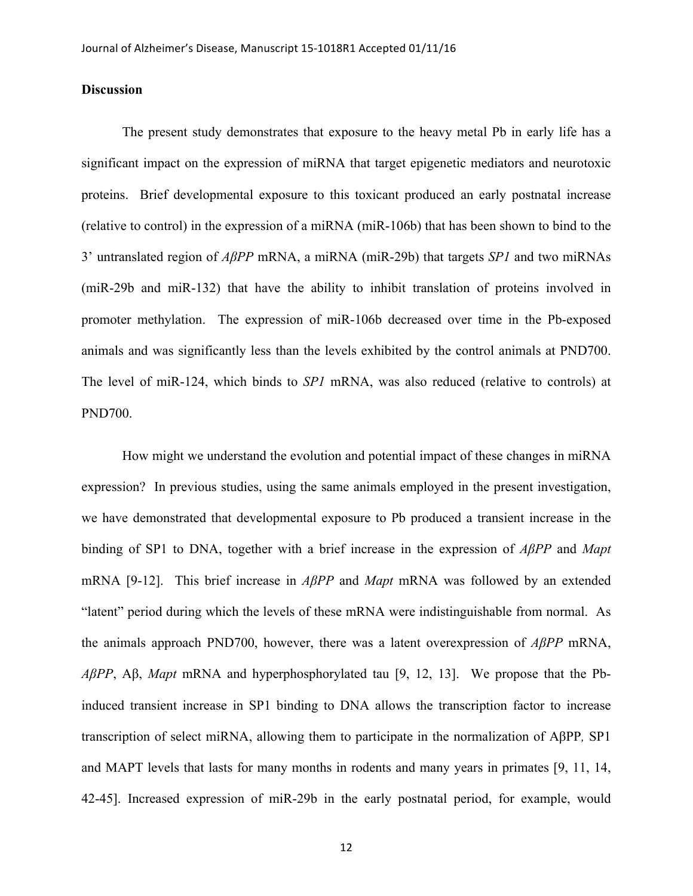## **Discussion**

The present study demonstrates that exposure to the heavy metal Pb in early life has a significant impact on the expression of miRNA that target epigenetic mediators and neurotoxic proteins. Brief developmental exposure to this toxicant produced an early postnatal increase (relative to control) in the expression of a miRNA (miR-106b) that has been shown to bind to the 3' untranslated region of *AβPP* mRNA, a miRNA (miR-29b) that targets *SP1* and two miRNAs (miR-29b and miR-132) that have the ability to inhibit translation of proteins involved in promoter methylation. The expression of miR-106b decreased over time in the Pb-exposed animals and was significantly less than the levels exhibited by the control animals at PND700. The level of miR-124, which binds to *SP1* mRNA, was also reduced (relative to controls) at PND700.

How might we understand the evolution and potential impact of these changes in miRNA expression? In previous studies, using the same animals employed in the present investigation, we have demonstrated that developmental exposure to Pb produced a transient increase in the binding of SP1 to DNA, together with a brief increase in the expression of *AβPP* and *Mapt* mRNA [9-12]. This brief increase in *AβPP* and *Mapt* mRNA was followed by an extended "latent" period during which the levels of these mRNA were indistinguishable from normal. As the animals approach PND700, however, there was a latent overexpression of *AβPP* mRNA, *AβPP*, Aβ, *Mapt* mRNA and hyperphosphorylated tau [9, 12, 13]. We propose that the Pbinduced transient increase in SP1 binding to DNA allows the transcription factor to increase transcription of select miRNA, allowing them to participate in the normalization of AβPP*,* SP1 and MAPT levels that lasts for many months in rodents and many years in primates [9, 11, 14, 42-45]. Increased expression of miR-29b in the early postnatal period, for example, would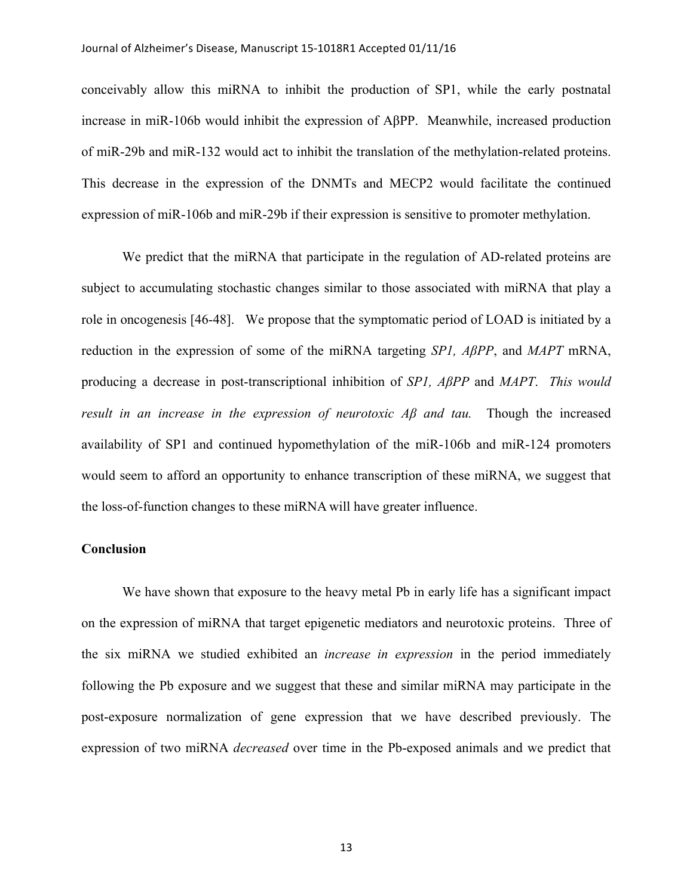#### Journal of Alzheimer's Disease, Manuscript 15-1018R1 Accepted 01/11/16

conceivably allow this miRNA to inhibit the production of SP1, while the early postnatal increase in miR-106b would inhibit the expression of AβPP. Meanwhile, increased production of miR-29b and miR-132 would act to inhibit the translation of the methylation-related proteins. This decrease in the expression of the DNMTs and MECP2 would facilitate the continued expression of miR-106b and miR-29b if their expression is sensitive to promoter methylation.

We predict that the miRNA that participate in the regulation of AD-related proteins are subject to accumulating stochastic changes similar to those associated with miRNA that play a role in oncogenesis [46-48]. We propose that the symptomatic period of LOAD is initiated by a reduction in the expression of some of the miRNA targeting *SP1, AβPP*, and *MAPT* mRNA, producing a decrease in post-transcriptional inhibition of *SP1, AβPP* and *MAPT*. *This would result in an increase in the expression of neurotoxic Aβ and tau.* Though the increased availability of SP1 and continued hypomethylation of the miR-106b and miR-124 promoters would seem to afford an opportunity to enhance transcription of these miRNA, we suggest that the loss-of-function changes to these miRNA will have greater influence.

## **Conclusion**

We have shown that exposure to the heavy metal Pb in early life has a significant impact on the expression of miRNA that target epigenetic mediators and neurotoxic proteins. Three of the six miRNA we studied exhibited an *increase in expression* in the period immediately following the Pb exposure and we suggest that these and similar miRNA may participate in the post-exposure normalization of gene expression that we have described previously. The expression of two miRNA *decreased* over time in the Pb-exposed animals and we predict that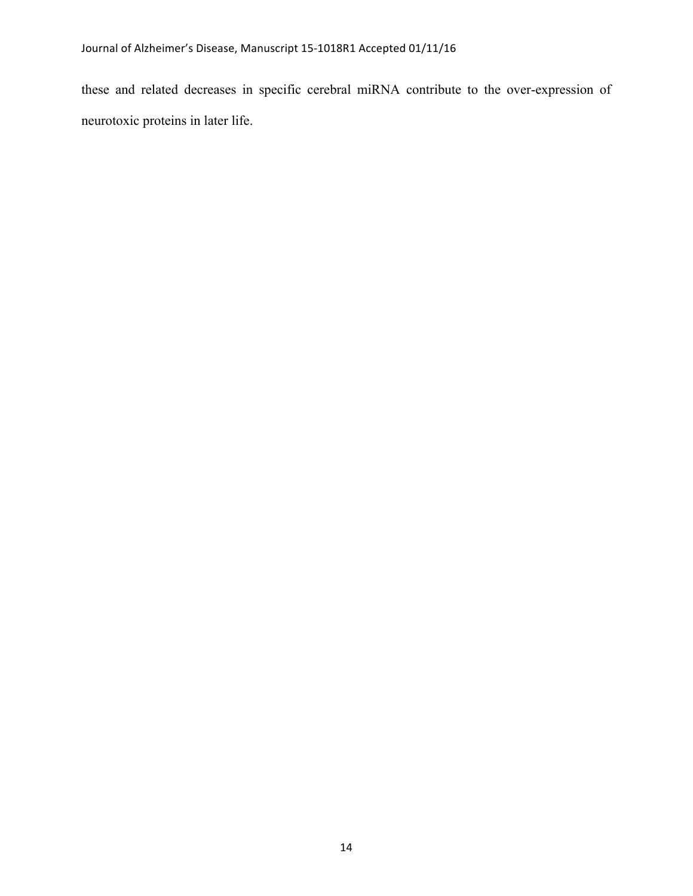these and related decreases in specific cerebral miRNA contribute to the over-expression of neurotoxic proteins in later life.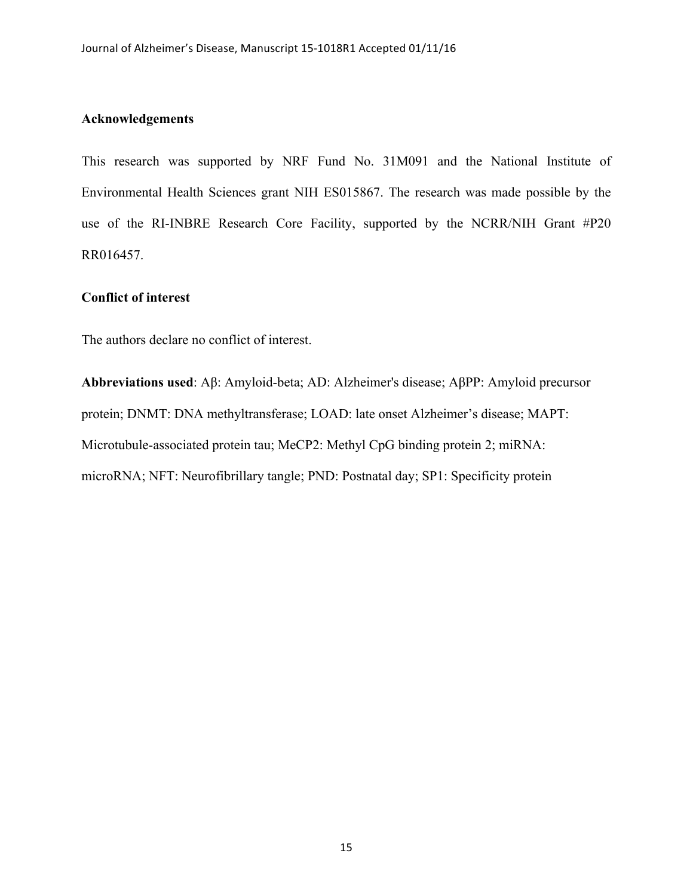## **Acknowledgements**

This research was supported by NRF Fund No. 31M091 and the National Institute of Environmental Health Sciences grant NIH ES015867. The research was made possible by the use of the RI-INBRE Research Core Facility, supported by the NCRR/NIH Grant #P20 RR016457.

## **Conflict of interest**

The authors declare no conflict of interest.

**Abbreviations used**: Aβ: Amyloid-beta; AD: Alzheimer's disease; AβPP: Amyloid precursor protein; DNMT: DNA methyltransferase; LOAD: late onset Alzheimer's disease; MAPT: Microtubule-associated protein tau; MeCP2: Methyl CpG binding protein 2; miRNA: microRNA; NFT: Neurofibrillary tangle; PND: Postnatal day; SP1: Specificity protein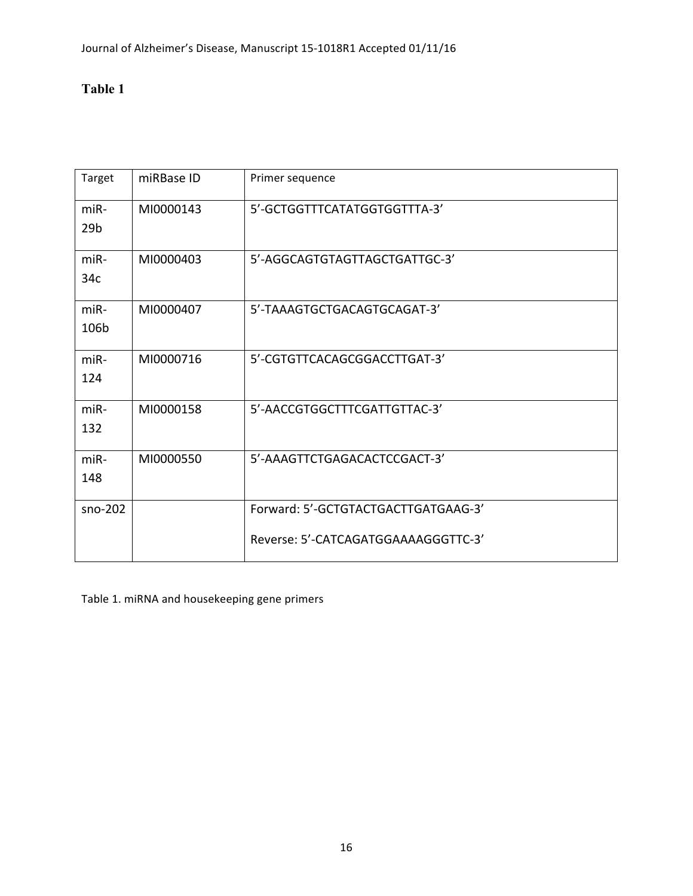## **Table 1**

| Target                    | miRBase ID | Primer sequence                                                            |
|---------------------------|------------|----------------------------------------------------------------------------|
| $miR-$<br>29 <sub>b</sub> | MI0000143  | 5'-GCTGGTTTCATATGGTGGTTTA-3'                                               |
| $miR-$<br>34c             | MI0000403  | 5'-AGGCAGTGTAGTTAGCTGATTGC-3'                                              |
| $miR-$<br>106b            | MI0000407  | 5'-TAAAGTGCTGACAGTGCAGAT-3'                                                |
| $miR-$<br>124             | MI0000716  | 5'-CGTGTTCACAGCGGACCTTGAT-3'                                               |
| $miR-$<br>132             | MI0000158  | 5'-AACCGTGGCTTTCGATTGTTAC-3'                                               |
| $miR-$<br>148             | MI0000550  | 5'-AAAGTTCTGAGACACTCCGACT-3'                                               |
| $sno-202$                 |            | Forward: 5'-GCTGTACTGACTTGATGAAG-3'<br>Reverse: 5'-CATCAGATGGAAAAGGGTTC-3' |

Table 1. miRNA and housekeeping gene primers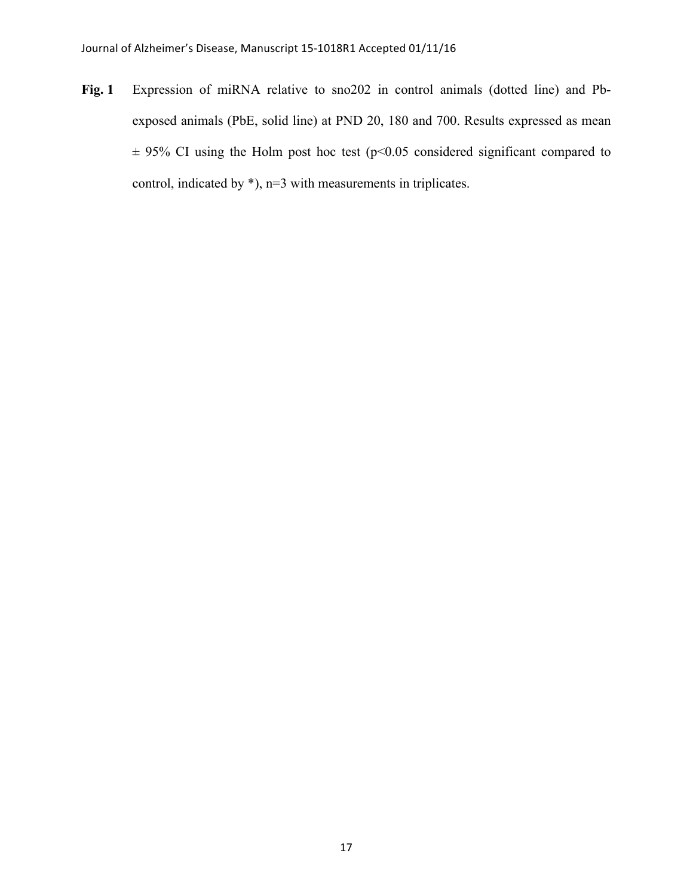**Fig. 1** Expression of miRNA relative to sno202 in control animals (dotted line) and Pbexposed animals (PbE, solid line) at PND 20, 180 and 700. Results expressed as mean  $\pm$  95% CI using the Holm post hoc test (p<0.05 considered significant compared to control, indicated by \*), n=3 with measurements in triplicates.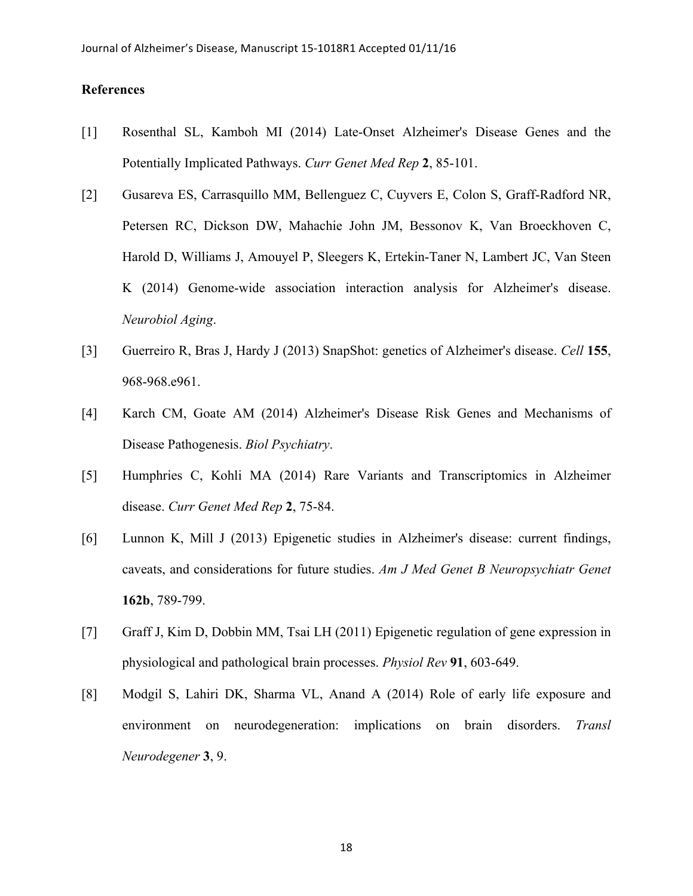## **References**

- [1] Rosenthal SL, Kamboh MI (2014) Late-Onset Alzheimer's Disease Genes and the Potentially Implicated Pathways. *Curr Genet Med Rep* **2**, 85-101.
- [2] Gusareva ES, Carrasquillo MM, Bellenguez C, Cuyvers E, Colon S, Graff-Radford NR, Petersen RC, Dickson DW, Mahachie John JM, Bessonov K, Van Broeckhoven C, Harold D, Williams J, Amouyel P, Sleegers K, Ertekin-Taner N, Lambert JC, Van Steen K (2014) Genome-wide association interaction analysis for Alzheimer's disease. *Neurobiol Aging*.
- [3] Guerreiro R, Bras J, Hardy J (2013) SnapShot: genetics of Alzheimer's disease. *Cell* **155**, 968-968.e961.
- [4] Karch CM, Goate AM (2014) Alzheimer's Disease Risk Genes and Mechanisms of Disease Pathogenesis. *Biol Psychiatry*.
- [5] Humphries C, Kohli MA (2014) Rare Variants and Transcriptomics in Alzheimer disease. *Curr Genet Med Rep* **2**, 75-84.
- [6] Lunnon K, Mill J (2013) Epigenetic studies in Alzheimer's disease: current findings, caveats, and considerations for future studies. *Am J Med Genet B Neuropsychiatr Genet* **162b**, 789-799.
- [7] Graff J, Kim D, Dobbin MM, Tsai LH (2011) Epigenetic regulation of gene expression in physiological and pathological brain processes. *Physiol Rev* **91**, 603-649.
- [8] Modgil S, Lahiri DK, Sharma VL, Anand A (2014) Role of early life exposure and environment on neurodegeneration: implications on brain disorders. *Transl Neurodegener* **3**, 9.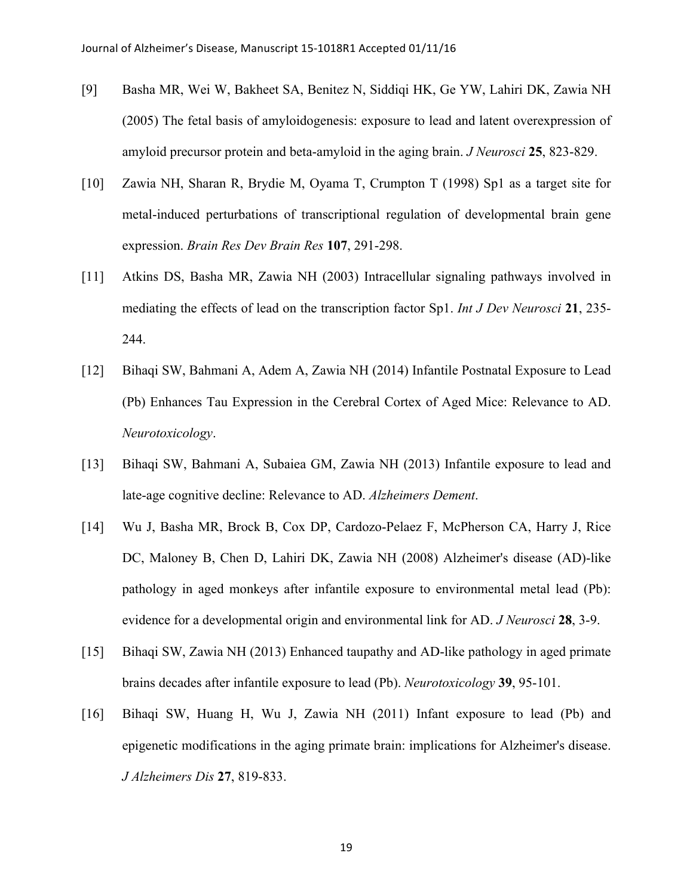- [9] Basha MR, Wei W, Bakheet SA, Benitez N, Siddiqi HK, Ge YW, Lahiri DK, Zawia NH (2005) The fetal basis of amyloidogenesis: exposure to lead and latent overexpression of amyloid precursor protein and beta-amyloid in the aging brain. *J Neurosci* **25**, 823-829.
- [10] Zawia NH, Sharan R, Brydie M, Oyama T, Crumpton T (1998) Sp1 as a target site for metal-induced perturbations of transcriptional regulation of developmental brain gene expression. *Brain Res Dev Brain Res* **107**, 291-298.
- [11] Atkins DS, Basha MR, Zawia NH (2003) Intracellular signaling pathways involved in mediating the effects of lead on the transcription factor Sp1. *Int J Dev Neurosci* **21**, 235- 244.
- [12] Bihaqi SW, Bahmani A, Adem A, Zawia NH (2014) Infantile Postnatal Exposure to Lead (Pb) Enhances Tau Expression in the Cerebral Cortex of Aged Mice: Relevance to AD. *Neurotoxicology*.
- [13] Bihaqi SW, Bahmani A, Subaiea GM, Zawia NH (2013) Infantile exposure to lead and late-age cognitive decline: Relevance to AD. *Alzheimers Dement*.
- [14] Wu J, Basha MR, Brock B, Cox DP, Cardozo-Pelaez F, McPherson CA, Harry J, Rice DC, Maloney B, Chen D, Lahiri DK, Zawia NH (2008) Alzheimer's disease (AD)-like pathology in aged monkeys after infantile exposure to environmental metal lead (Pb): evidence for a developmental origin and environmental link for AD. *J Neurosci* **28**, 3-9.
- [15] Bihaqi SW, Zawia NH (2013) Enhanced taupathy and AD-like pathology in aged primate brains decades after infantile exposure to lead (Pb). *Neurotoxicology* **39**, 95-101.
- [16] Bihaqi SW, Huang H, Wu J, Zawia NH (2011) Infant exposure to lead (Pb) and epigenetic modifications in the aging primate brain: implications for Alzheimer's disease. *J Alzheimers Dis* **27**, 819-833.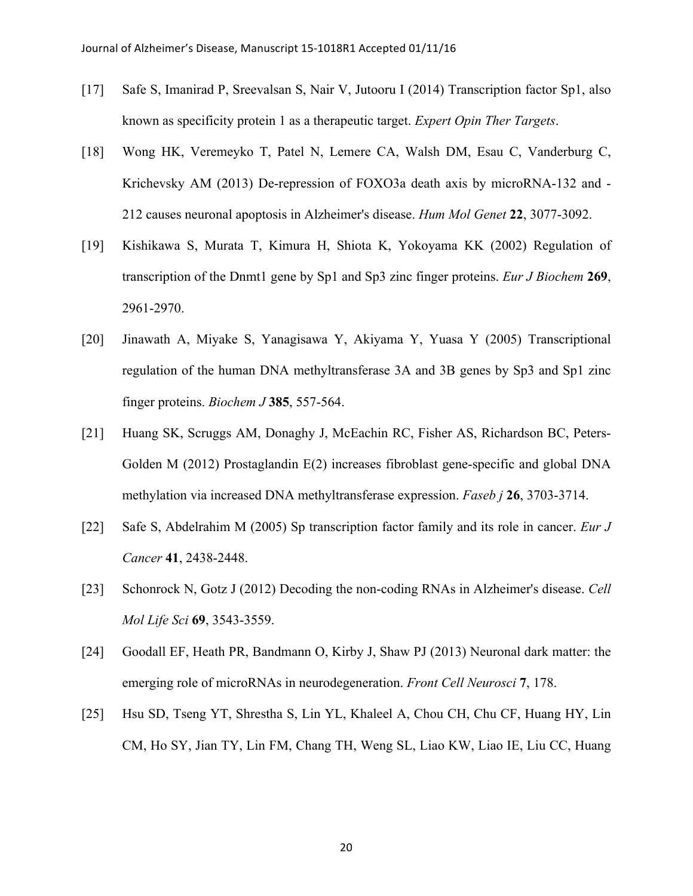- [17] Safe S, Imanirad P, Sreevalsan S, Nair V, Jutooru I (2014) Transcription factor Sp1, also known as specificity protein 1 as a therapeutic target. *Expert Opin Ther Targets*.
- [18] Wong HK, Veremeyko T, Patel N, Lemere CA, Walsh DM, Esau C, Vanderburg C, Krichevsky AM (2013) De-repression of FOXO3a death axis by microRNA-132 and - 212 causes neuronal apoptosis in Alzheimer's disease. *Hum Mol Genet* **22**, 3077-3092.
- [19] Kishikawa S, Murata T, Kimura H, Shiota K, Yokoyama KK (2002) Regulation of transcription of the Dnmt1 gene by Sp1 and Sp3 zinc finger proteins. *Eur J Biochem* **269**, 2961-2970.
- [20] Jinawath A, Miyake S, Yanagisawa Y, Akiyama Y, Yuasa Y (2005) Transcriptional regulation of the human DNA methyltransferase 3A and 3B genes by Sp3 and Sp1 zinc finger proteins. *Biochem J* **385**, 557-564.
- [21] Huang SK, Scruggs AM, Donaghy J, McEachin RC, Fisher AS, Richardson BC, Peters-Golden M (2012) Prostaglandin E(2) increases fibroblast gene-specific and global DNA methylation via increased DNA methyltransferase expression. *Faseb j* **26**, 3703-3714.
- [22] Safe S, Abdelrahim M (2005) Sp transcription factor family and its role in cancer. *Eur J Cancer* **41**, 2438-2448.
- [23] Schonrock N, Gotz J (2012) Decoding the non-coding RNAs in Alzheimer's disease. *Cell Mol Life Sci* **69**, 3543-3559.
- [24] Goodall EF, Heath PR, Bandmann O, Kirby J, Shaw PJ (2013) Neuronal dark matter: the emerging role of microRNAs in neurodegeneration. *Front Cell Neurosci* **7**, 178.
- [25] Hsu SD, Tseng YT, Shrestha S, Lin YL, Khaleel A, Chou CH, Chu CF, Huang HY, Lin CM, Ho SY, Jian TY, Lin FM, Chang TH, Weng SL, Liao KW, Liao IE, Liu CC, Huang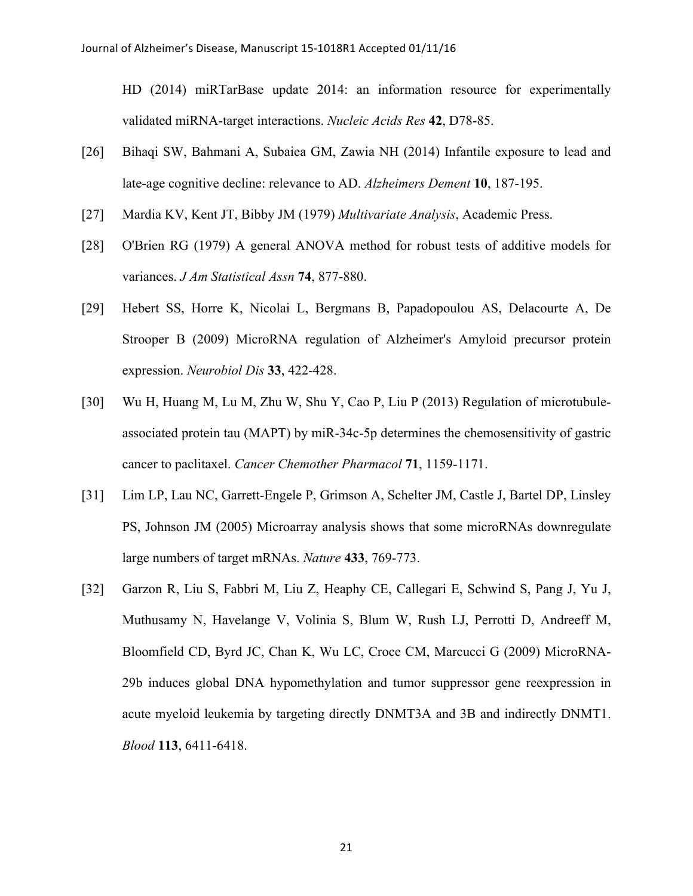HD (2014) miRTarBase update 2014: an information resource for experimentally validated miRNA-target interactions. *Nucleic Acids Res* **42**, D78-85.

- [26] Bihaqi SW, Bahmani A, Subaiea GM, Zawia NH (2014) Infantile exposure to lead and late-age cognitive decline: relevance to AD. *Alzheimers Dement* **10**, 187-195.
- [27] Mardia KV, Kent JT, Bibby JM (1979) *Multivariate Analysis*, Academic Press.
- [28] O'Brien RG (1979) A general ANOVA method for robust tests of additive models for variances. *J Am Statistical Assn* **74**, 877-880.
- [29] Hebert SS, Horre K, Nicolai L, Bergmans B, Papadopoulou AS, Delacourte A, De Strooper B (2009) MicroRNA regulation of Alzheimer's Amyloid precursor protein expression. *Neurobiol Dis* **33**, 422-428.
- [30] Wu H, Huang M, Lu M, Zhu W, Shu Y, Cao P, Liu P (2013) Regulation of microtubuleassociated protein tau (MAPT) by miR-34c-5p determines the chemosensitivity of gastric cancer to paclitaxel. *Cancer Chemother Pharmacol* **71**, 1159-1171.
- [31] Lim LP, Lau NC, Garrett-Engele P, Grimson A, Schelter JM, Castle J, Bartel DP, Linsley PS, Johnson JM (2005) Microarray analysis shows that some microRNAs downregulate large numbers of target mRNAs. *Nature* **433**, 769-773.
- [32] Garzon R, Liu S, Fabbri M, Liu Z, Heaphy CE, Callegari E, Schwind S, Pang J, Yu J, Muthusamy N, Havelange V, Volinia S, Blum W, Rush LJ, Perrotti D, Andreeff M, Bloomfield CD, Byrd JC, Chan K, Wu LC, Croce CM, Marcucci G (2009) MicroRNA-29b induces global DNA hypomethylation and tumor suppressor gene reexpression in acute myeloid leukemia by targeting directly DNMT3A and 3B and indirectly DNMT1. *Blood* **113**, 6411-6418.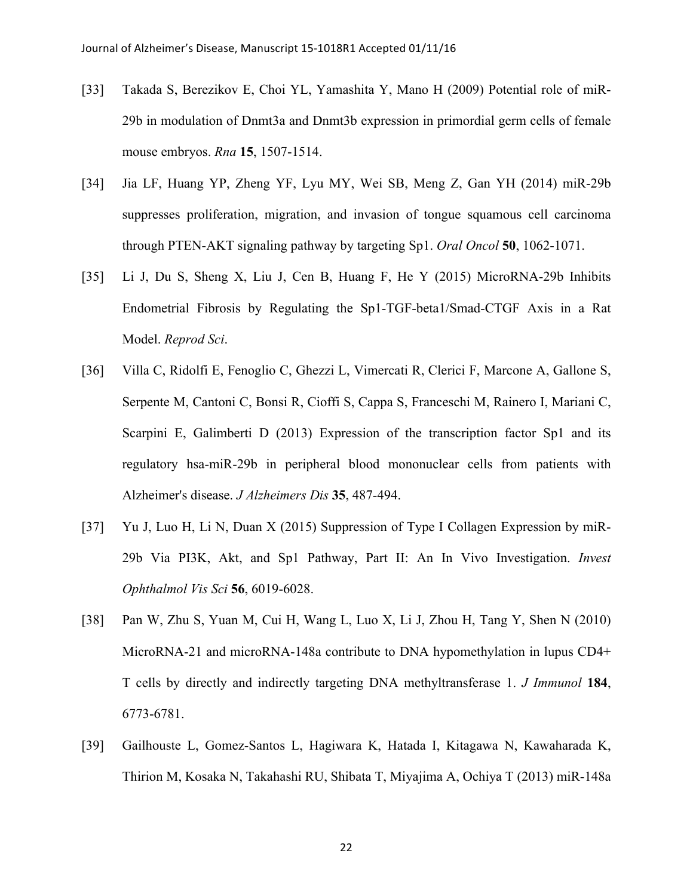- [33] Takada S, Berezikov E, Choi YL, Yamashita Y, Mano H (2009) Potential role of miR-29b in modulation of Dnmt3a and Dnmt3b expression in primordial germ cells of female mouse embryos. *Rna* **15**, 1507-1514.
- [34] Jia LF, Huang YP, Zheng YF, Lyu MY, Wei SB, Meng Z, Gan YH (2014) miR-29b suppresses proliferation, migration, and invasion of tongue squamous cell carcinoma through PTEN-AKT signaling pathway by targeting Sp1. *Oral Oncol* **50**, 1062-1071.
- [35] Li J, Du S, Sheng X, Liu J, Cen B, Huang F, He Y (2015) MicroRNA-29b Inhibits Endometrial Fibrosis by Regulating the Sp1-TGF-beta1/Smad-CTGF Axis in a Rat Model. *Reprod Sci*.
- [36] Villa C, Ridolfi E, Fenoglio C, Ghezzi L, Vimercati R, Clerici F, Marcone A, Gallone S, Serpente M, Cantoni C, Bonsi R, Cioffi S, Cappa S, Franceschi M, Rainero I, Mariani C, Scarpini E, Galimberti D (2013) Expression of the transcription factor Sp1 and its regulatory hsa-miR-29b in peripheral blood mononuclear cells from patients with Alzheimer's disease. *J Alzheimers Dis* **35**, 487-494.
- [37] Yu J, Luo H, Li N, Duan X (2015) Suppression of Type I Collagen Expression by miR-29b Via PI3K, Akt, and Sp1 Pathway, Part II: An In Vivo Investigation. *Invest Ophthalmol Vis Sci* **56**, 6019-6028.
- [38] Pan W, Zhu S, Yuan M, Cui H, Wang L, Luo X, Li J, Zhou H, Tang Y, Shen N (2010) MicroRNA-21 and microRNA-148a contribute to DNA hypomethylation in lupus CD4+ T cells by directly and indirectly targeting DNA methyltransferase 1. *J Immunol* **184**, 6773-6781.
- [39] Gailhouste L, Gomez-Santos L, Hagiwara K, Hatada I, Kitagawa N, Kawaharada K, Thirion M, Kosaka N, Takahashi RU, Shibata T, Miyajima A, Ochiya T (2013) miR-148a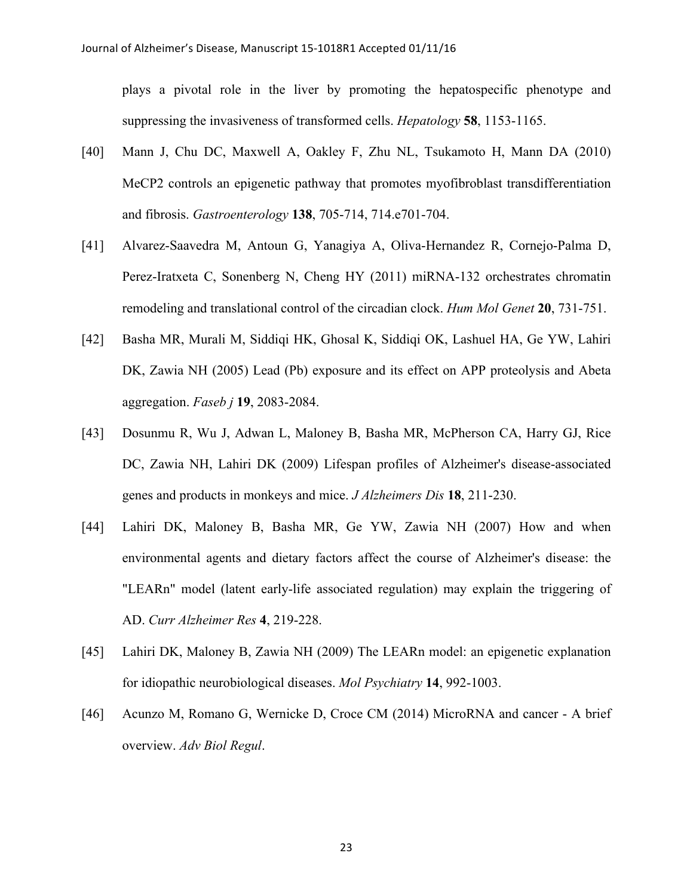plays a pivotal role in the liver by promoting the hepatospecific phenotype and suppressing the invasiveness of transformed cells. *Hepatology* **58**, 1153-1165.

- [40] Mann J, Chu DC, Maxwell A, Oakley F, Zhu NL, Tsukamoto H, Mann DA (2010) MeCP2 controls an epigenetic pathway that promotes myofibroblast transdifferentiation and fibrosis. *Gastroenterology* **138**, 705-714, 714.e701-704.
- [41] Alvarez-Saavedra M, Antoun G, Yanagiya A, Oliva-Hernandez R, Cornejo-Palma D, Perez-Iratxeta C, Sonenberg N, Cheng HY (2011) miRNA-132 orchestrates chromatin remodeling and translational control of the circadian clock. *Hum Mol Genet* **20**, 731-751.
- [42] Basha MR, Murali M, Siddiqi HK, Ghosal K, Siddiqi OK, Lashuel HA, Ge YW, Lahiri DK, Zawia NH (2005) Lead (Pb) exposure and its effect on APP proteolysis and Abeta aggregation. *Faseb j* **19**, 2083-2084.
- [43] Dosunmu R, Wu J, Adwan L, Maloney B, Basha MR, McPherson CA, Harry GJ, Rice DC, Zawia NH, Lahiri DK (2009) Lifespan profiles of Alzheimer's disease-associated genes and products in monkeys and mice. *J Alzheimers Dis* **18**, 211-230.
- [44] Lahiri DK, Maloney B, Basha MR, Ge YW, Zawia NH (2007) How and when environmental agents and dietary factors affect the course of Alzheimer's disease: the "LEARn" model (latent early-life associated regulation) may explain the triggering of AD. *Curr Alzheimer Res* **4**, 219-228.
- [45] Lahiri DK, Maloney B, Zawia NH (2009) The LEARn model: an epigenetic explanation for idiopathic neurobiological diseases. *Mol Psychiatry* **14**, 992-1003.
- [46] Acunzo M, Romano G, Wernicke D, Croce CM (2014) MicroRNA and cancer A brief overview. *Adv Biol Regul*.